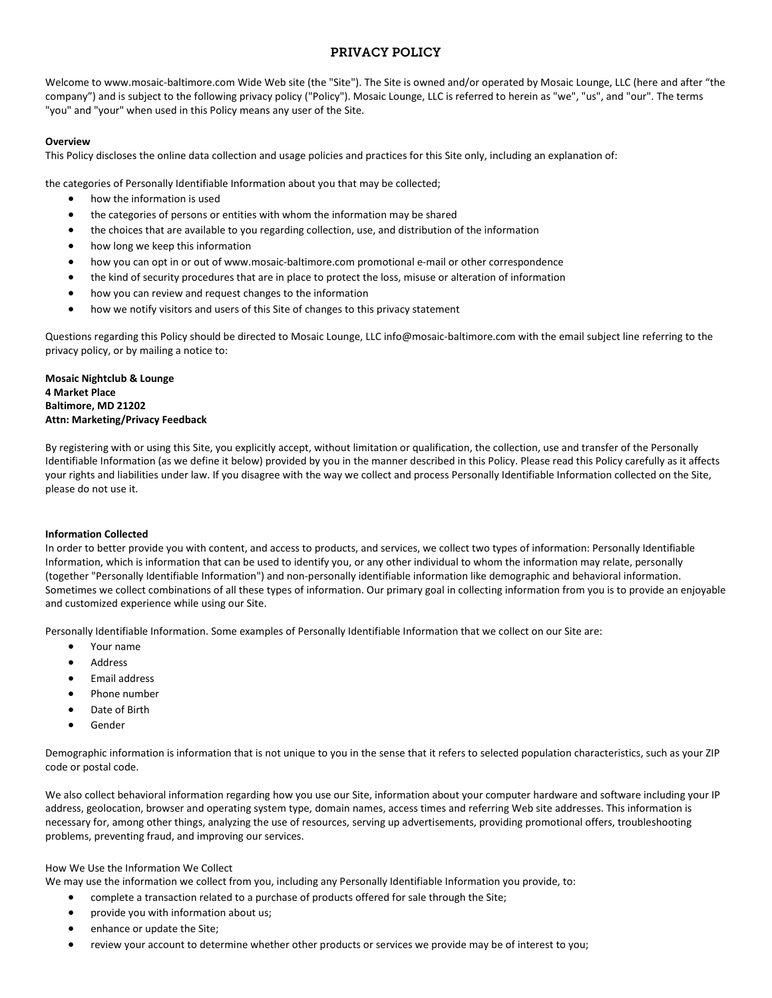# PRIVACY POLICY

Welcome to www.mosaic-baltimore.com Wide Web site (the "Site"). The Site is owned and/or operated by Mosaic Lounge, LLC (here and after "the company") and is subject to the following privacy policy ("Policy"). Mosaic Lounge, LLC is referred to herein as "we", "us", and "our". The terms "you" and "your" when used in this Policy means any user of the Site.

# **Overview**

This Policy discloses the online data collection and usage policies and practices for this Site only, including an explanation of:

the categories of Personally Identifiable Information about you that may be collected;

- how the information is used
- the categories of persons or entities with whom the information may be shared
- the choices that are available to you regarding collection, use, and distribution of the information
- how long we keep this information
- how you can opt in or out of www.mosaic-baltimore.com promotional e-mail or other correspondence
- the kind of security procedures that are in place to protect the loss, misuse or alteration of information
- how you can review and request changes to the information
- how we notify visitors and users of this Site of changes to this privacy statement

Questions regarding this Policy should be directed to Mosaic Lounge, LLC info@mosaic-baltimore.com with the email subject line referring to the privacy policy, or by mailing a notice to:

**Mosaic Nightclub & Lounge 4 Market Place Baltimore, MD 21202 Attn: Marketing/Privacy Feedback** 

By registering with or using this Site, you explicitly accept, without limitation or qualification, the collection, use and transfer of the Personally Identifiable Information (as we define it below) provided by you in the manner described in this Policy. Please read this Policy carefully as it affects your rights and liabilities under law. If you disagree with the way we collect and process Personally Identifiable Information collected on the Site, please do not use it.

### **Information Collected**

In order to better provide you with content, and access to products, and services, we collect two types of information: Personally Identifiable Information, which is information that can be used to identify you, or any other individual to whom the information may relate, personally (together "Personally Identifiable Information") and non-personally identifiable information like demographic and behavioral information. Sometimes we collect combinations of all these types of information. Our primary goal in collecting information from you is to provide an enjoyable and customized experience while using our Site.

Personally Identifiable Information. Some examples of Personally Identifiable Information that we collect on our Site are:

- Your name
- **Address**
- Email address
- Phone number
- Date of Birth
- **Gender**

Demographic information is information that is not unique to you in the sense that it refers to selected population characteristics, such as your ZIP code or postal code.

We also collect behavioral information regarding how you use our Site, information about your computer hardware and software including your IP address, geolocation, browser and operating system type, domain names, access times and referring Web site addresses. This information is necessary for, among other things, analyzing the use of resources, serving up advertisements, providing promotional offers, troubleshooting problems, preventing fraud, and improving our services.

### How We Use the Information We Collect

We may use the information we collect from you, including any Personally Identifiable Information you provide, to:

- complete a transaction related to a purchase of products offered for sale through the Site;
- provide you with information about us;
- enhance or update the Site;
- review your account to determine whether other products or services we provide may be of interest to you;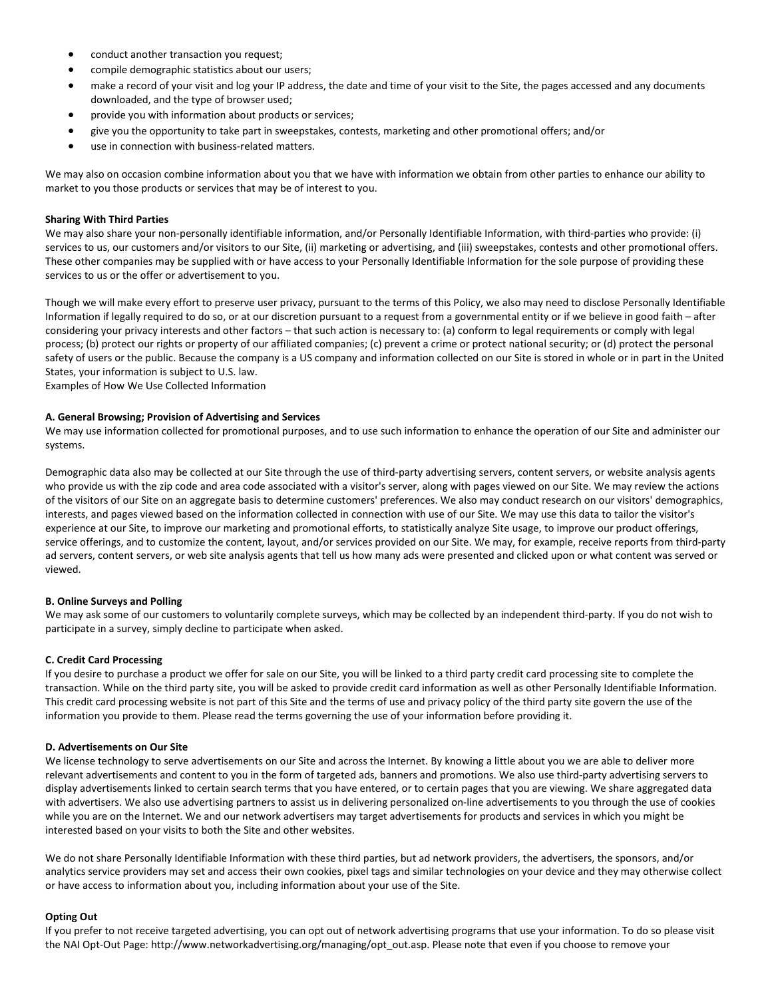- conduct another transaction you request;
- compile demographic statistics about our users;
- make a record of your visit and log your IP address, the date and time of your visit to the Site, the pages accessed and any documents downloaded, and the type of browser used;
- provide you with information about products or services;
- give you the opportunity to take part in sweepstakes, contests, marketing and other promotional offers; and/or
- use in connection with business-related matters.

We may also on occasion combine information about you that we have with information we obtain from other parties to enhance our ability to market to you those products or services that may be of interest to you.

## **Sharing With Third Parties**

We may also share your non-personally identifiable information, and/or Personally Identifiable Information, with third-parties who provide: (i) services to us, our customers and/or visitors to our Site, (ii) marketing or advertising, and (iii) sweepstakes, contests and other promotional offers. These other companies may be supplied with or have access to your Personally Identifiable Information for the sole purpose of providing these services to us or the offer or advertisement to you.

Though we will make every effort to preserve user privacy, pursuant to the terms of this Policy, we also may need to disclose Personally Identifiable Information if legally required to do so, or at our discretion pursuant to a request from a governmental entity or if we believe in good faith – after considering your privacy interests and other factors – that such action is necessary to: (a) conform to legal requirements or comply with legal process; (b) protect our rights or property of our affiliated companies; (c) prevent a crime or protect national security; or (d) protect the personal safety of users or the public. Because the company is a US company and information collected on our Site is stored in whole or in part in the United States, your information is subject to U.S. law.

Examples of How We Use Collected Information

### **A. General Browsing; Provision of Advertising and Services**

We may use information collected for promotional purposes, and to use such information to enhance the operation of our Site and administer our systems.

Demographic data also may be collected at our Site through the use of third-party advertising servers, content servers, or website analysis agents who provide us with the zip code and area code associated with a visitor's server, along with pages viewed on our Site. We may review the actions of the visitors of our Site on an aggregate basis to determine customers' preferences. We also may conduct research on our visitors' demographics, interests, and pages viewed based on the information collected in connection with use of our Site. We may use this data to tailor the visitor's experience at our Site, to improve our marketing and promotional efforts, to statistically analyze Site usage, to improve our product offerings, service offerings, and to customize the content, layout, and/or services provided on our Site. We may, for example, receive reports from third-party ad servers, content servers, or web site analysis agents that tell us how many ads were presented and clicked upon or what content was served or viewed.

### **B. Online Surveys and Polling**

We may ask some of our customers to voluntarily complete surveys, which may be collected by an independent third-party. If you do not wish to participate in a survey, simply decline to participate when asked.

### **C. Credit Card Processing**

If you desire to purchase a product we offer for sale on our Site, you will be linked to a third party credit card processing site to complete the transaction. While on the third party site, you will be asked to provide credit card information as well as other Personally Identifiable Information. This credit card processing website is not part of this Site and the terms of use and privacy policy of the third party site govern the use of the information you provide to them. Please read the terms governing the use of your information before providing it.

### **D. Advertisements on Our Site**

We license technology to serve advertisements on our Site and across the Internet. By knowing a little about you we are able to deliver more relevant advertisements and content to you in the form of targeted ads, banners and promotions. We also use third-party advertising servers to display advertisements linked to certain search terms that you have entered, or to certain pages that you are viewing. We share aggregated data with advertisers. We also use advertising partners to assist us in delivering personalized on-line advertisements to you through the use of cookies while you are on the Internet. We and our network advertisers may target advertisements for products and services in which you might be interested based on your visits to both the Site and other websites.

We do not share Personally Identifiable Information with these third parties, but ad network providers, the advertisers, the sponsors, and/or analytics service providers may set and access their own cookies, pixel tags and similar technologies on your device and they may otherwise collect or have access to information about you, including information about your use of the Site.

### **Opting Out**

If you prefer to not receive targeted advertising, you can opt out of network advertising programs that use your information. To do so please visit the NAI Opt-Out Page: http://www.networkadvertising.org/managing/opt\_out.asp. Please note that even if you choose to remove your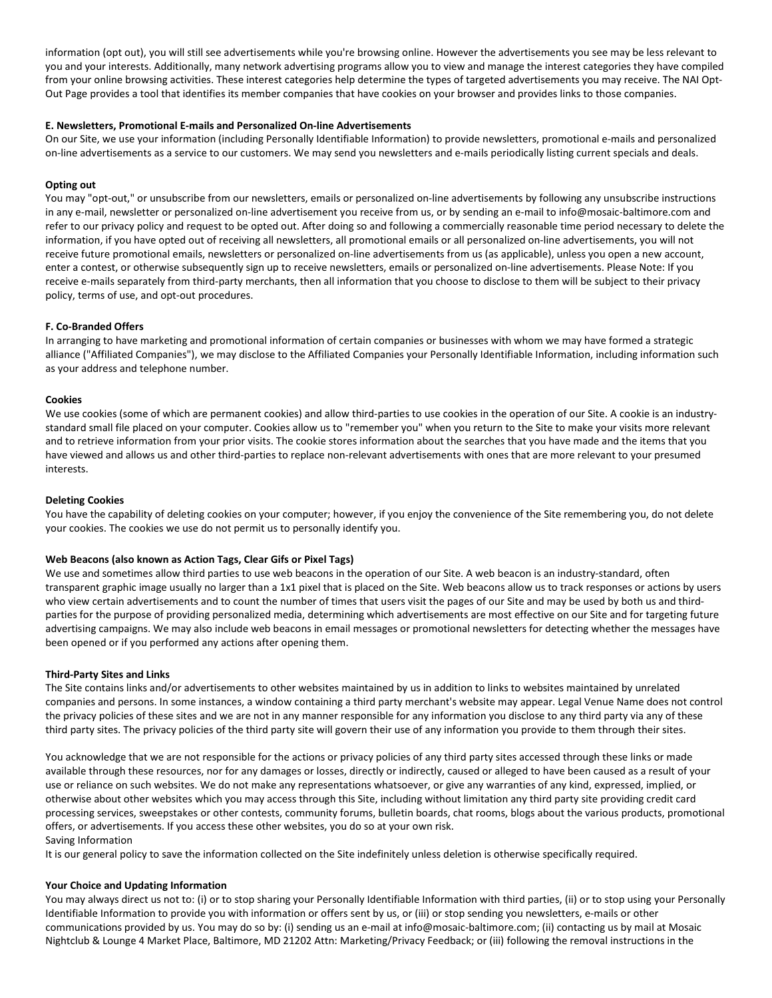information (opt out), you will still see advertisements while you're browsing online. However the advertisements you see may be less relevant to you and your interests. Additionally, many network advertising programs allow you to view and manage the interest categories they have compiled from your online browsing activities. These interest categories help determine the types of targeted advertisements you may receive. The NAI Opt-Out Page provides a tool that identifies its member companies that have cookies on your browser and provides links to those companies.

## **E. Newsletters, Promotional E-mails and Personalized On-line Advertisements**

On our Site, we use your information (including Personally Identifiable Information) to provide newsletters, promotional e-mails and personalized on-line advertisements as a service to our customers. We may send you newsletters and e-mails periodically listing current specials and deals.

# **Opting out**

You may "opt-out," or unsubscribe from our newsletters, emails or personalized on-line advertisements by following any unsubscribe instructions in any e-mail, newsletter or personalized on-line advertisement you receive from us, or by sending an e-mail to info@mosaic-baltimore.com and refer to our privacy policy and request to be opted out. After doing so and following a commercially reasonable time period necessary to delete the information, if you have opted out of receiving all newsletters, all promotional emails or all personalized on-line advertisements, you will not receive future promotional emails, newsletters or personalized on-line advertisements from us (as applicable), unless you open a new account, enter a contest, or otherwise subsequently sign up to receive newsletters, emails or personalized on-line advertisements. Please Note: If you receive e-mails separately from third-party merchants, then all information that you choose to disclose to them will be subject to their privacy policy, terms of use, and opt-out procedures.

## **F. Co-Branded Offers**

In arranging to have marketing and promotional information of certain companies or businesses with whom we may have formed a strategic alliance ("Affiliated Companies"), we may disclose to the Affiliated Companies your Personally Identifiable Information, including information such as your address and telephone number.

### **Cookies**

We use cookies (some of which are permanent cookies) and allow third-parties to use cookies in the operation of our Site. A cookie is an industrystandard small file placed on your computer. Cookies allow us to "remember you" when you return to the Site to make your visits more relevant and to retrieve information from your prior visits. The cookie stores information about the searches that you have made and the items that you have viewed and allows us and other third-parties to replace non-relevant advertisements with ones that are more relevant to your presumed interests.

### **Deleting Cookies**

You have the capability of deleting cookies on your computer; however, if you enjoy the convenience of the Site remembering you, do not delete your cookies. The cookies we use do not permit us to personally identify you.

## **Web Beacons (also known as Action Tags, Clear Gifs or Pixel Tags)**

We use and sometimes allow third parties to use web beacons in the operation of our Site. A web beacon is an industry-standard, often transparent graphic image usually no larger than a 1x1 pixel that is placed on the Site. Web beacons allow us to track responses or actions by users who view certain advertisements and to count the number of times that users visit the pages of our Site and may be used by both us and thirdparties for the purpose of providing personalized media, determining which advertisements are most effective on our Site and for targeting future advertising campaigns. We may also include web beacons in email messages or promotional newsletters for detecting whether the messages have been opened or if you performed any actions after opening them.

### **Third-Party Sites and Links**

The Site contains links and/or advertisements to other websites maintained by us in addition to links to websites maintained by unrelated companies and persons. In some instances, a window containing a third party merchant's website may appear. Legal Venue Name does not control the privacy policies of these sites and we are not in any manner responsible for any information you disclose to any third party via any of these third party sites. The privacy policies of the third party site will govern their use of any information you provide to them through their sites.

You acknowledge that we are not responsible for the actions or privacy policies of any third party sites accessed through these links or made available through these resources, nor for any damages or losses, directly or indirectly, caused or alleged to have been caused as a result of your use or reliance on such websites. We do not make any representations whatsoever, or give any warranties of any kind, expressed, implied, or otherwise about other websites which you may access through this Site, including without limitation any third party site providing credit card processing services, sweepstakes or other contests, community forums, bulletin boards, chat rooms, blogs about the various products, promotional offers, or advertisements. If you access these other websites, you do so at your own risk. Saving Information

It is our general policy to save the information collected on the Site indefinitely unless deletion is otherwise specifically required.

## **Your Choice and Updating Information**

You may always direct us not to: (i) or to stop sharing your Personally Identifiable Information with third parties, (ii) or to stop using your Personally Identifiable Information to provide you with information or offers sent by us, or (iii) or stop sending you newsletters, e-mails or other communications provided by us. You may do so by: (i) sending us an e-mail at info@mosaic-baltimore.com; (ii) contacting us by mail at Mosaic Nightclub & Lounge 4 Market Place, Baltimore, MD 21202 Attn: Marketing/Privacy Feedback; or (iii) following the removal instructions in the